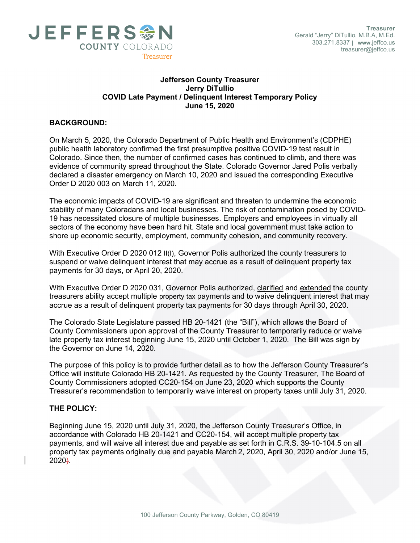

## Jefferson County Treasurer Jerry DiTullio COVID Late Payment / Delinquent Interest Temporary Policy June 15, 2020

## BACKGROUND:

On March 5, 2020, the Colorado Department of Public Health and Environment's (CDPHE) public health laboratory confirmed the first presumptive positive COVID-19 test result in Colorado. Since then, the number of confirmed cases has continued to climb, and there was evidence of community spread throughout the State. Colorado Governor Jared Polis verbally declared a disaster emergency on March 10, 2020 and issued the corresponding Executive Order D 2020 003 on March 11, 2020.

The economic impacts of COVID-19 are significant and threaten to undermine the economic stability of many Coloradans and local businesses. The risk of contamination posed by COVID-19 has necessitated closure of multiple businesses. Employers and employees in virtually all sectors of the economy have been hard hit. State and local government must take action to shore up economic security, employment, community cohesion, and community recovery.

With Executive Order D 2020 012 II(I), Governor Polis authorized the county treasurers to suspend or waive delinquent interest that may accrue as a result of delinquent property tax payments for 30 days, or April 20, 2020.

With Executive Order D 2020 031, Governor Polis authorized, clarified and extended the county treasurers ability accept multiple property tax payments and to waive delinquent interest that may accrue as a result of delinquent property tax payments for 30 days through April 30, 2020.

The Colorado State Legislature passed HB 20-1421 (the "Bill"), which allows the Board of County Commissioners upon approval of the County Treasurer to temporarily reduce or waive late property tax interest beginning June 15, 2020 until October 1, 2020. The Bill was sign by the Governor on June 14, 2020.

The purpose of this policy is to provide further detail as to how the Jefferson County Treasurer's Office will institute Colorado HB 20-1421. As requested by the County Treasurer, The Board of County Commissioners adopted CC20-154 on June 23, 2020 which supports the County Treasurer's recommendation to temporarily waive interest on property taxes until July 31, 2020.

## THE POLICY:

Beginning June 15, 2020 until July 31, 2020, the Jefferson County Treasurer's Office, in accordance with Colorado HB 20-1421 and CC20-154, will accept multiple property tax payments, and will waive all interest due and payable as set forth in C.R.S. 39-10-104.5 on all property tax payments originally due and payable March 2, 2020, April 30, 2020 and/or June 15, 2020).